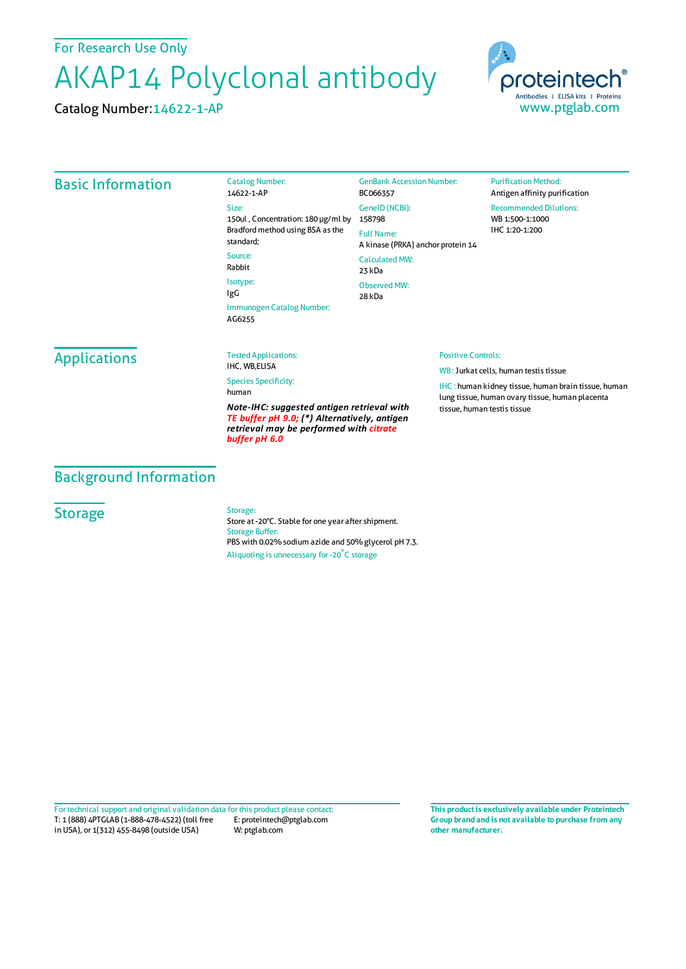For Research Use Only

# AKAP14 Polyclonal antibody

Catalog Number:14622-1-AP



## Basic Information

Catalog Number: 14622-1-AP Size: 150ul , Concentration: 180 μg/ml by 158798 Bradford method using BSA as the standard; Source: Rabbit Isotype: IgG Immunogen Catalog Number: AG6255

GenBank Accession Number: BC066357 GeneID(NCBI): Full Name: A kinase (PRKA) anchor protein 14 CalculatedMW: 23 kDa Observed MW: 28 kDa

#### **Purification Method:** Antigen affinity purification Recommended Dilutions: WB 1:500-1:1000 IHC 1:20-1:200

## Applications

Tested Applications: IHC, WB,ELISA

Species Specificity: human

*Note-IHC: suggested antigen retrieval with TE buffer pH 9.0; (\*) Alternatively, antigen retrieval may be performed with citrate buffer pH 6.0*

#### Positive Controls:

WB : Jurkat cells, human testis tissue

IHC : human kidney tissue, human brain tissue, human lung tissue, human ovary tissue, human placenta tissue, human testis tissue

## Background Information

## **Storage**

Storage:

Store at -20°C. Stable for one year after shipment. Storage Buffer: PBS with 0.02% sodium azide and 50% glycerol pH 7.3. Aliquoting is unnecessary for -20<sup>°</sup>C storage

T: 1 (888) 4PTGLAB (1-888-478-4522) (toll free in USA), or 1(312) 455-8498 (outside USA) E: proteintech@ptglab.com W: ptglab.com Fortechnical support and original validation data forthis product please contact: **This productis exclusively available under Proteintech**

**Group brand and is not available to purchase from any other manufacturer.**